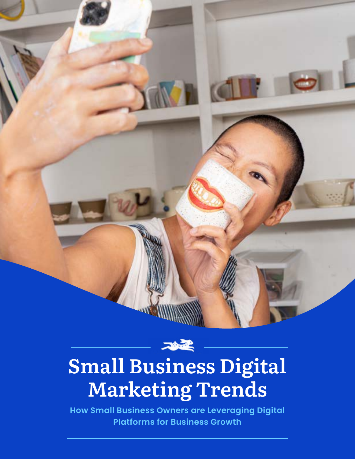

**How Small Business Owners are Leveraging Digital Platforms for Business Growth**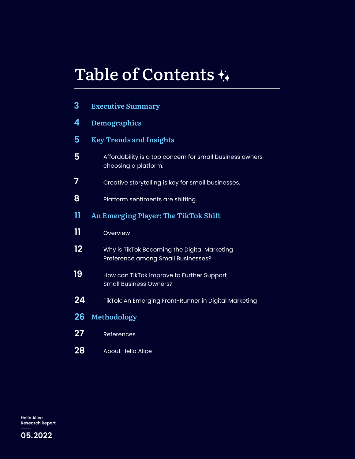# Table of Contents

| 3            | <b>Executive Summary</b>                                                           |  |  |  |  |
|--------------|------------------------------------------------------------------------------------|--|--|--|--|
| 4            | <b>Demographics</b>                                                                |  |  |  |  |
| 5            | <b>Key Trends and Insights</b>                                                     |  |  |  |  |
| 5            | Affordability is a top concern for small business owners<br>choosing a platform.   |  |  |  |  |
| 7            | Creative storytelling is key for small businesses.                                 |  |  |  |  |
| 8            | Platform sentiments are shifting.                                                  |  |  |  |  |
| 11           | An Emerging Player: The TikTok Shift                                               |  |  |  |  |
| $\mathbf{1}$ | Overview                                                                           |  |  |  |  |
| 12           | Why is TikTok Becoming the Digital Marketing<br>Preference among Small Businesses? |  |  |  |  |
| 19           | How can TikTok Improve to Further Support<br><b>Small Business Owners?</b>         |  |  |  |  |
| 24           | TikTok: An Emerging Front-Runner in Digital Marketing                              |  |  |  |  |
| 26           | Methodology                                                                        |  |  |  |  |
| 27           | References                                                                         |  |  |  |  |
| 28           | <b>About Hello Alice</b>                                                           |  |  |  |  |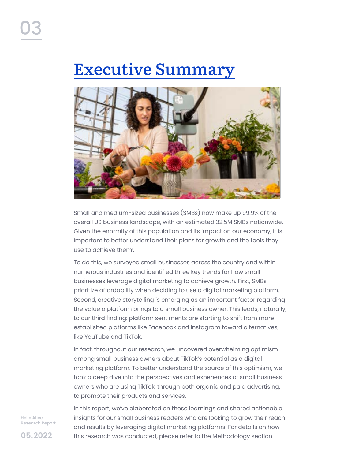# Executive Summary



Small and medium-sized businesses (SMBs) now make up 99.9% of the overall US business landscape, with an estimated 32.5M SMBs nationwide. Given the enormity of this population and its impact on our economy, it is important to better understand their plans for growth and the tools they use to achieve them<sup>1</sup>.

To do this, we surveyed small businesses across the country and within numerous industries and identified three key trends for how small businesses leverage digital marketing to achieve growth. First, SMBs prioritize affordability when deciding to use a digital marketing platform. Second, creative storytelling is emerging as an important factor regarding the value a platform brings to a small business owner. This leads, naturally, to our third finding: platform sentiments are starting to shift from more established platforms like Facebook and Instagram toward alternatives, like YouTube and TikTok.

In fact, throughout our research, we uncovered overwhelming optimism among small business owners about TikTok's potential as a digital marketing platform. To better understand the source of this optimism, we took a deep dive into the perspectives and experiences of small business owners who are using TikTok, through both organic and paid advertising, to promote their products and services.

**Hello Alice Research Report** 

**05.2022**

In this report, we've elaborated on these learnings and shared actionable insights for our small business readers who are looking to grow their reach and results by leveraging digital marketing platforms. For details on how this research was conducted, please refer to the Methodology section.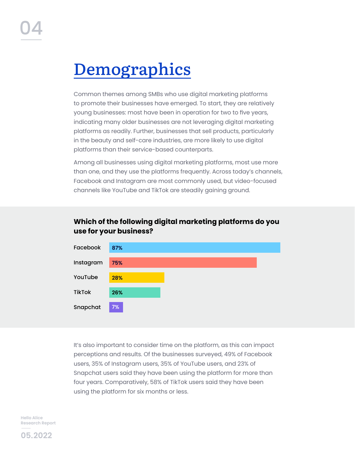# **Demographics**

Common themes among SMBs who use digital marketing platforms to promote their businesses have emerged. To start, they are relatively young businesses: most have been in operation for two to five years, indicating many older businesses are not leveraging digital marketing platforms as readily. Further, businesses that sell products, particularly in the beauty and self-care industries, are more likely to use digital platforms than their service-based counterparts.

Among all businesses using digital marketing platforms, most use more than one, and they use the platforms frequently. Across today's channels, Facebook and Instagram are most commonly used, but video-focused channels like YouTube and TikTok are steadily gaining ground.

#### **Which of the following digital marketing platforms do you use for your business?**



It's also important to consider time on the platform, as this can impact perceptions and results. Of the businesses surveyed, 49% of Facebook users, 35% of Instagram users, 35% of YouTube users, and 23% of Snapchat users said they have been using the platform for more than four years. Comparatively, 58% of TikTok users said they have been using the platform for six months or less.

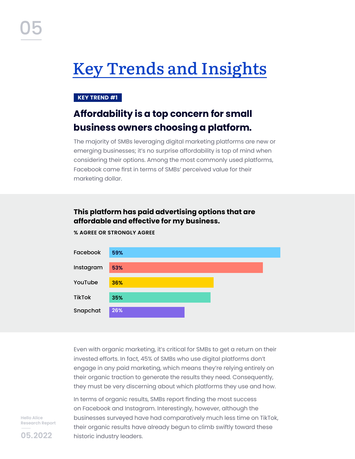# Key Trends and Insights

#### **KEY TREND #1**

## **Affordability is a top concern for small business owners choosing a platform.**

The majority of SMBs leveraging digital marketing platforms are new or emerging businesses; it's no surprise affordability is top of mind when considering their options. Among the most commonly used platforms, Facebook came first in terms of SMBs' perceived value for their marketing dollar.

#### **This platform has paid advertising options that are affordable and effective for my business.**



**% AGREE OR STRONGLY AGREE**

Even with organic marketing, it's critical for SMBs to get a return on their invested efforts. In fact, 45% of SMBs who use digital platforms don't engage in any paid marketing, which means they're relying entirely on their organic traction to generate the results they need. Consequently, they must be very discerning about which platforms they use and how.

In terms of organic results, SMBs report finding the most success on Facebook and Instagram. Interestingly, however, although the businesses surveyed have had comparatively much less time on TikTok, their organic results have already begun to climb swiftly toward these historic industry leaders.

**Hello Alice Research Report** 

**05.2022**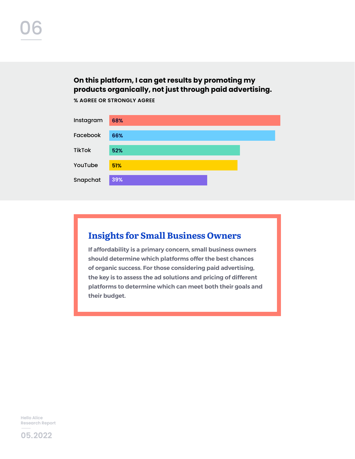#### **On this platform, I can get results by promoting my products organically, not just through paid advertising.**

**% AGREE OR STRONGLY AGREE**



### **Insights for Small Business Owners**

**If affordability is a primary concern, small business owners should determine which platforms offer the best chances of organic success. For those considering paid advertising, the key is to assess the ad solutions and pricing of different platforms to determine which can meet both their goals and their budget.**

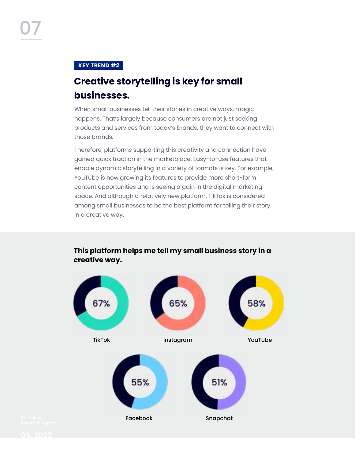#### **KEY TREND #2**

## **Creative storytelling is key for small businesses.**

When small businesses tell their stories in creative ways, magic happens. That's largely because consumers are not just seeking products and services from today's brands; they want to connect with those brands.

Therefore, platforms supporting this creativity and connection have gained quick traction in the marketplace. Easy-to-use features that enable dynamic storytelling in a variety of formats is key. For example, YouTube is now growing its features to provide more short-form content opportunities and is seeing a gain in the digital marketing space. And although a relatively new platform, TikTok is considered among small businesses to be the best platform for telling their story in a creative way.



#### **This platform helps me tell my small business story in a creative way.**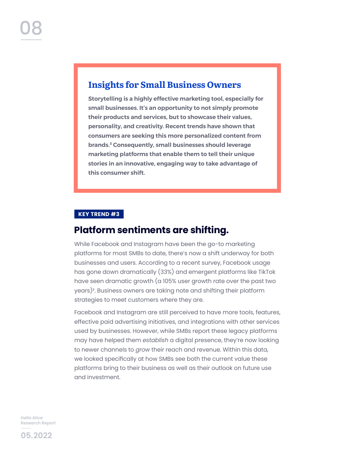## **Insights for Small Business Owners**

**Storytelling is a highly effective marketing tool, especially for small businesses. It's an opportunity to not simply promote their products and services, but to showcase their values, personality, and creativity. Recent trends have shown that consumers are seeking this more personalized content from brands.³ Consequently, small businesses should leverage marketing platforms that enable them to tell their unique stories in an innovative, engaging way to take advantage of this consumer shift.** 

#### **KEY TREND #3**

### **Platform sentiments are shifting.**

While Facebook and Instagram have been the go-to marketing platforms for most SMBs to date, there's now a shift underway for both businesses and users. According to a recent survey, Facebook usage has gone down dramatically (33%) and emergent platforms like TikTok have seen dramatic growth (a 105% user growth rate over the past two years)². Business owners are taking note and shifting their platform strategies to meet customers where they are.

Facebook and Instagram are still perceived to have more tools, features, effective paid advertising initiatives, and integrations with other services used by businesses. However, while SMBs report these legacy platforms may have helped them *establish* a digital presence, they're now looking to newer channels to *grow* their reach and revenue. Within this data, we looked specifically at how SMBs see both the current value these platforms bring to their business as well as their outlook on future use and investment.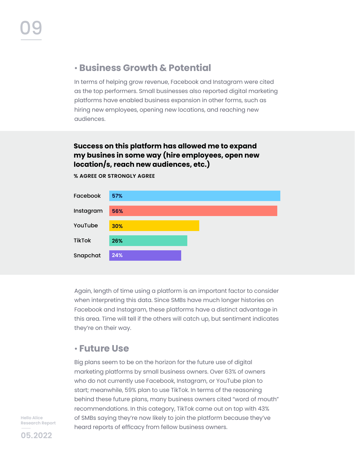### ¬ **Business Growth & Potential**

In terms of helping grow revenue, Facebook and Instagram were cited as the top performers. Small businesses also reported digital marketing platforms have enabled business expansion in other forms, such as hiring new employees, opening new locations, and reaching new audiences.

#### **Success on this platform has allowed me to expand my busines in some way (hire employees, open new location/s, reach new audiences, etc.)**



**% AGREE OR STRONGLY AGREE**

Again, length of time using a platform is an important factor to consider when interpreting this data. Since SMBs have much longer histories on Facebook and Instagram, these platforms have a distinct advantage in this area. Time will tell if the others will catch up, but sentiment indicates they're on their way.

### ¬ **Future Use**

Big plans seem to be on the horizon for the future use of digital marketing platforms by small business owners. Over 63% of owners who do not currently use Facebook, Instagram, or YouTube plan to start; meanwhile, 59% plan to use TikTok. In terms of the reasoning behind these future plans, many business owners cited "word of mouth" recommendations. In this category, TikTok came out on top with 43% of SMBs saying they're now likely to join the platform because they've heard reports of efficacy from fellow business owners.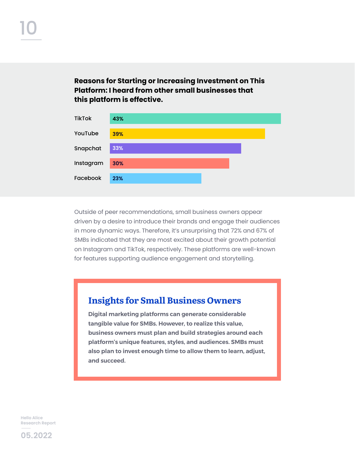**Reasons for Starting or Increasing Investment on This Platform: I heard from other small businesses that this platform is effective.**



Outside of peer recommendations, small business owners appear driven by a desire to introduce their brands and engage their audiences in more dynamic ways. Therefore, it's unsurprising that 72% and 67% of SMBs indicated that they are most excited about their growth potential on Instagram and TikTok, respectively. These platforms are well-known for features supporting audience engagement and storytelling.

#### **Insights for Small Business Owners**

**Digital marketing platforms can generate considerable tangible value for SMBs. However, to realize this value, business owners must plan and build strategies around each platform's unique features, styles, and audiences. SMBs must also plan to invest enough time to allow them to learn, adjust, and succeed.**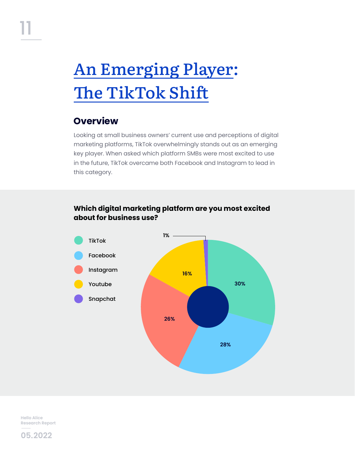# An Emerging Player: The TikTok Shift

## **Overview**

Looking at small business owners' current use and perceptions of digital marketing platforms, TikTok overwhelmingly stands out as an emerging key player. When asked which platform SMBs were most excited to use in the future, TikTok overcame both Facebook and Instagram to lead in this category.

#### **Which digital marketing platform are you most excited about for business use?**



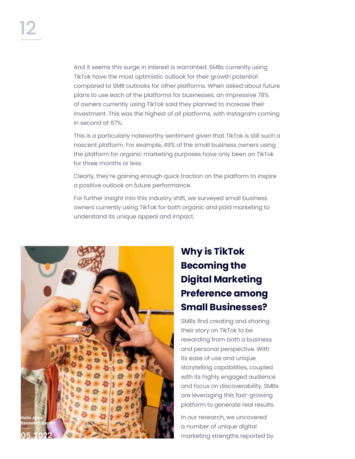And it seems this surge in interest is warranted. SMBs currently using TikTok have the most optimistic outlook for their growth potential compared to SMB outlooks for other platforms. When asked about future plans to use each of the platforms for businesses, an impressive 78% of owners currently using TikTok said they planned to increase their investment. This was the highest of all platforms, with Instagram coming in second at 67%.

This is a particularly noteworthy sentiment given that TikTok is still such a nascent platform. For example, 49% of the small business owners using the platform for organic marketing purposes have only been on TikTok for three months or less.

Clearly, they're gaining enough quick traction on the platform to inspire a positive outlook on future performance.

For further insight into this industry shift, we surveyed small business owners currently using TikTok for both organic and paid marketing to understand its unique appeal and impact.



## **Why is TikTok Becoming the Digital Marketing Preference among Small Businesses?**

SMBs find creating and sharing their story on TikTok to be rewarding from both a business and personal perspective. With its ease of use and unique storytelling capabilities, coupled with its highly engaged audience and focus on discoverability, SMBs are leveraging this fast-growing platform to generate real results.

In our research, we uncovered a number of unique digital marketing strengths reported by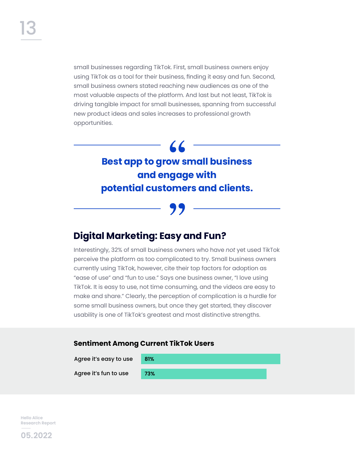small businesses regarding TikTok. First, small business owners enjoy using TikTok as a tool for their business, finding it easy and fun. Second, small business owners stated reaching new audiences as one of the most valuable aspects of the platform. And last but not least, TikTok is driving tangible impact for small businesses, spanning from successful new product ideas and sales increases to professional growth opportunities.

## **Best app to grow small business and engage with potential customers and clients.**

## **Digital Marketing: Easy and Fun?**

Interestingly, 32% of small business owners who have *not* yet used TikTok perceive the platform as too complicated to try. Small business owners currently using TikTok, however, cite their top factors for adoption as "ease of use" and "fun to use." Says one business owner, "I love using TikTok. It is easy to use, not time consuming, and the videos are easy to make and share." Clearly, the perception of complication is a hurdle for some small business owners, but once they get started, they discover usability is one of TikTok's greatest and most distinctive strengths.

#### **Sentiment Among Current TikTok Users**

Agree it's easy to use Agree it's fun to use **81% 73%**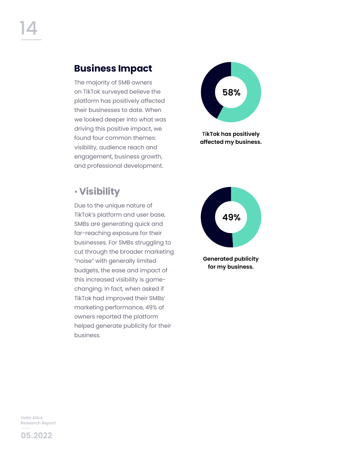## **Business Impact**

The majority of SMB owners on TikTok surveyed believe the platform has positively affected their businesses to date. When we looked deeper into what was driving this positive impact, we found four common themes: visibility, audience reach and engagement, business growth, and professional development.



Due to the unique nature of TikTok's platform and user base, SMBs are generating quick and far-reaching exposure for their businesses. For SMBs struggling to cut through the broader marketing "noise" with generally limited budgets, the ease and impact of this increased visibility is gamechanging. In fact, when asked if TikTok had improved their SMBs' marketing performance, 49% of owners reported the platform helped generate publicity for their business.



Ti**kTok has positively affected my business.**



**Generated publicity for my business.**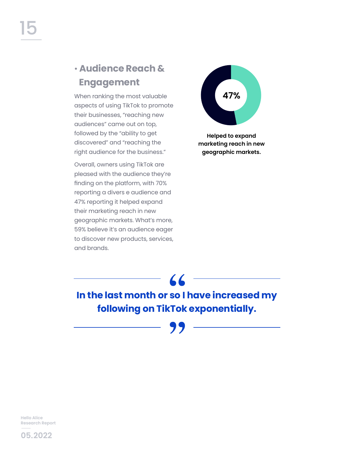## ¬ **Audience Reach & Engagement**

When ranking the most valuable aspects of using TikTok to promote their businesses, "reaching new audiences" came out on top, followed by the "ability to get discovered" and "reaching the right audience for the business."

Overall, owners using TikTok are pleased with the audience they're finding on the platform, with 70% reporting a divers e audience and 47% reporting it helped expand their marketing reach in new geographic markets. What's more, 59% believe it's an audience eager to discover new products, services, and brands.



**Helped to expand marketing reach in new geographic markets.**

**In the last month or so I have increased my following on TikTok exponentially.**

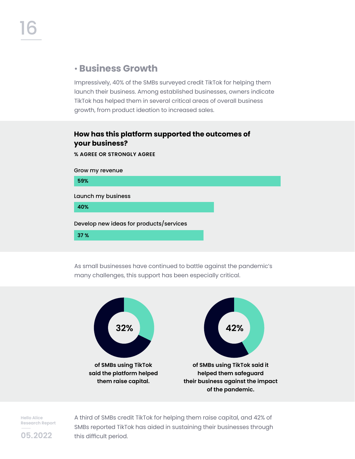### ¬ **Business Growth**

Impressively, 40% of the SMBs surveyed credit TikTok for helping them launch their business. Among established businesses, owners indicate TikTok has helped them in several critical areas of overall business growth, from product ideation to increased sales.

#### **How has this platform supported the outcomes of your business?**

**% AGREE OR STRONGLY AGREE**

Grow my revenue

**59%**

Launch my business

**40%**

Develop new ideas for products/services

**37 %**

As small businesses have continued to battle against the pandemic's many challenges, this support has been especially critical.



**Hello Alice Research Report** 

A third of SMBs credit TikTok for helping them raise capital, and 42% of SMBs reported TikTok has aided in sustaining their businesses through this difficult period.

**05.2022**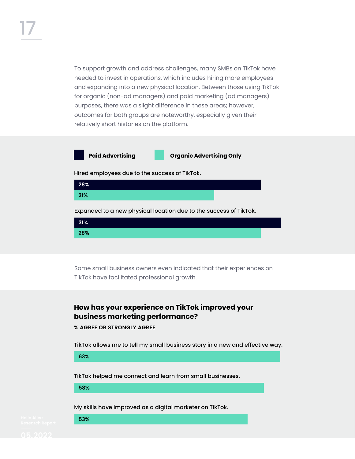To support growth and address challenges, many SMBs on TikTok have needed to invest in operations, which includes hiring more employees and expanding into a new physical location. Between those using TikTok for organic (non-ad managers) and paid marketing (ad managers) purposes, there was a slight difference in these areas; however, outcomes for both groups are noteworthy, especially given their relatively short histories on the platform.

**Paid Advertising Organic Advertising Only**

Hired employees due to the success of TikTok.



Expanded to a new physical location due to the success of TikTok.



Some small business owners even indicated that their experiences on TikTok have facilitated professional growth.

#### **How has your experience on TikTok improved your business marketing performance?**

**% AGREE OR STRONGLY AGREE**

TikTok allows me to tell my small business story in a new and effective way.

**63%**

TikTok helped me connect and learn from small businesses.

**58%**

**53%**

My skills have improved as a digital marketer on TikTok.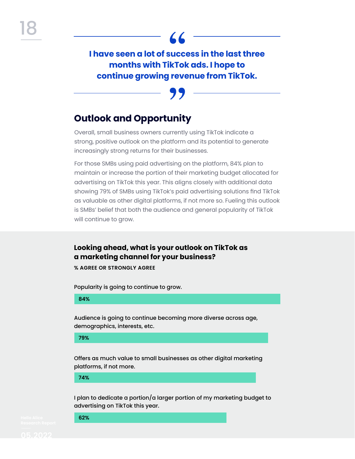**I have seen a lot of success in the last three months with TikTok ads. I hope to continue growing revenue from TikTok.**

## **Outlook and Opportunity**

Overall, small business owners currently using TikTok indicate a strong, positive outlook on the platform and its potential to generate increasingly strong returns for their businesses.

For those SMBs using paid advertising on the platform, 84% plan to maintain or increase the portion of their marketing budget allocated for advertising on TikTok this year. This aligns closely with additional data showing 79% of SMBs using TikTok's paid advertising solutions find TikTok as valuable as other digital platforms, if not more so. Fueling this outlook is SMBs' belief that both the audience and general popularity of TikTok will continue to grow.

**Looking ahead, what is your outlook on TikTok as a marketing channel for your business?**

**% AGREE OR STRONGLY AGREE**

Popularity is going to continue to grow.

#### **84%**

Audience is going to continue becoming more diverse across age, demographics, interests, etc.

**79%**

Offers as much value to small businesses as other digital marketing platforms, if not more.

**74%**

**62%**

I plan to dedicate a portion/a larger portion of my marketing budget to advertising on TikTok this year.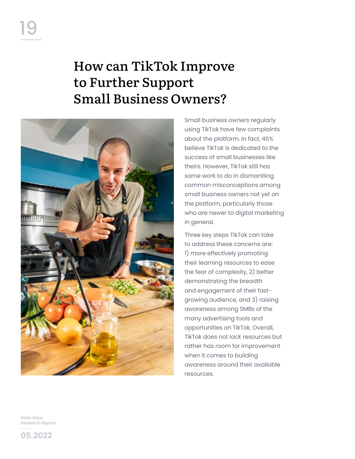## How can TikTok Improve to Further Support Small Business Owners?



Small business owners regularly using TikTok have few complaints about the platform. In fact, 46% believe TikTok is dedicated to the success of small businesses like theirs. However, TikTok still has some work to do in dismantling common misconceptions among small business owners not yet on the platform, particularly those who are newer to digital marketing in general.

Three key steps TikTok can take to address these concerns are: 1) more effectively promoting their learning resources to ease the fear of complexity, 2) better demonstrating the breadth and engagement of their fastgrowing audience, and 3) raising awareness among SMBs of the many advertising tools and opportunities on TikTok. Overall, TikTok does not lack resources but rather has room for improvement when it comes to building awareness around their available resources.

**Hello Alice Research Report** 

**05.2022**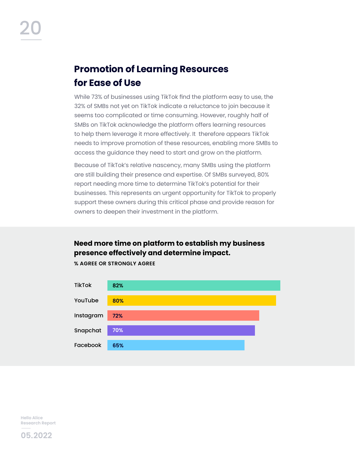## **Promotion of Learning Resources for Ease of Use**

While 73% of businesses using TikTok find the platform easy to use, the 32% of SMBs not yet on TikTok indicate a reluctance to join because it seems too complicated or time consuming. However, roughly half of SMBs on TikTok acknowledge the platform offers learning resources to help them leverage it more effectively. It therefore appears TikTok needs to improve promotion of these resources, enabling more SMBs to access the guidance they need to start and grow on the platform.

Because of TikTok's relative nascency, many SMBs using the platform are still building their presence and expertise. Of SMBs surveyed, 80% report needing more time to determine TikTok's potential for their businesses. This represents an urgent opportunity for TikTok to properly support these owners during this critical phase and provide reason for owners to deepen their investment in the platform.

#### **Need more time on platform to establish my business presence effectively and determine impact.**



**% AGREE OR STRONGLY AGREE**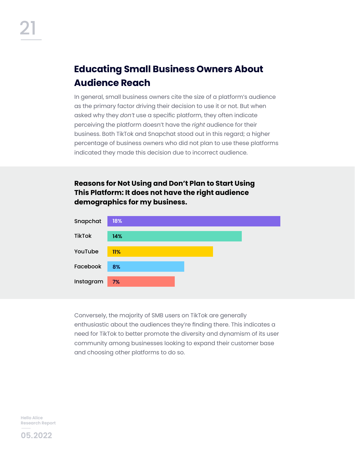## **Educating Small Business Owners About Audience Reach**

In general, small business owners cite the size of a platform's audience as the primary factor driving their decision to use it or not. But when asked why they *don't* use a specific platform, they often indicate perceiving the platform doesn't have the *right* audience for their business. Both TikTok and Snapchat stood out in this regard; a higher percentage of business owners who did not plan to use these platforms indicated they made this decision due to incorrect audience.

#### **Reasons for Not Using and Don't Plan to Start Using This Platform: It does not have the right audience demographics for my business.**



Conversely, the majority of SMB users on TikTok are generally enthusiastic about the audiences they're finding there. This indicates a need for TikTok to better promote the diversity and dynamism of its user community among businesses looking to expand their customer base and choosing other platforms to do so.

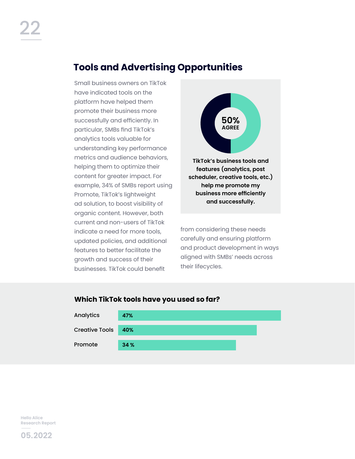## **Tools and Advertising Opportunities**

Small business owners on TikTok have indicated tools on the platform have helped them promote their business more successfully and efficiently. In particular, SMBs find TikTok's analytics tools valuable for understanding key performance metrics and audience behaviors, helping them to optimize their content for greater impact. For example, 34% of SMBs report using Promote, TikTok's lightweight ad solution, to boost visibility of organic content. However, both current and non-users of TikTok indicate a need for more tools, updated policies, and additional features to better facilitate the growth and success of their businesses. TikTok could benefit



**TikTok's business tools and features (analytics, post scheduler, creative tools, etc.) help me promote my business more efficiently and successfully.**

from considering these needs carefully and ensuring platform and product development in ways aligned with SMBs' needs across their lifecycles.



#### **Which TikTok tools have you used so far?**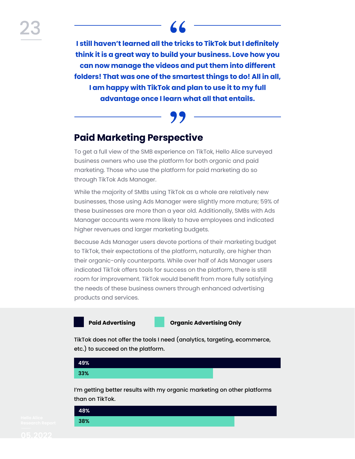**I still haven't learned all the tricks to TikTok but I definitely think it is a great way to build your business. Love how you can now manage the videos and put them into different folders! That was one of the smartest things to do! All in all, I am happy with TikTok and plan to use it to my full advantage once I learn what all that entails.**

## **Paid Marketing Perspective**

To get a full view of the SMB experience on TikTok, Hello Alice surveyed business owners who use the platform for both organic and paid marketing. Those who use the platform for paid marketing do so through TikTok Ads Manager.

While the majority of SMBs using TikTok as a whole are relatively new businesses, those using Ads Manager were slightly more mature; 59% of these businesses are more than a year old. Additionally, SMBs with Ads Manager accounts were more likely to have employees and indicated higher revenues and larger marketing budgets.

Because Ads Manager users devote portions of their marketing budget to TikTok, their expectations of the platform, naturally, are higher than their organic-only counterparts. While over half of Ads Manager users indicated TikTok offers tools for success on the platform, there is still room for improvement. TikTok would benefit from more fully satisfying the needs of these business owners through enhanced advertising products and services.

**Paid Advertising Organic Advertising Only**

TikTok does not offer the tools I need (analytics, targeting, ecommerce, etc.) to succeed on the platform.



than on TikTok.

| 48% |  |  |  |
|-----|--|--|--|
| 38% |  |  |  |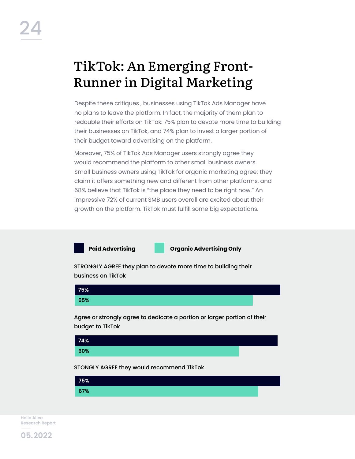## TikTok: An Emerging Front-Runner in Digital Marketing

Despite these critiques , businesses using TikTok Ads Manager have no plans to leave the platform. In fact, the majority of them plan to redouble their efforts on TikTok: 75% plan to devote more time to building their businesses on TikTok, and 74% plan to invest a larger portion of their budget toward advertising on the platform.

Moreover, 75% of TikTok Ads Manager users strongly agree they would recommend the platform to other small business owners. Small business owners using TikTok for organic marketing agree; they claim it offers something new and different from other platforms, and 68% believe that TikTok is "the place they need to be right now." An impressive 72% of current SMB users overall are excited about their growth on the platform. TikTok must fulfill some big expectations.



**Paid Advertising Organic Advertising Only**

STRONGLY AGREE they plan to devote more time to building their business on TikTok



Agree or strongly agree to dedicate a portion or larger portion of their budget to TikTok



STONGLY AGREE they would recommend TikTok

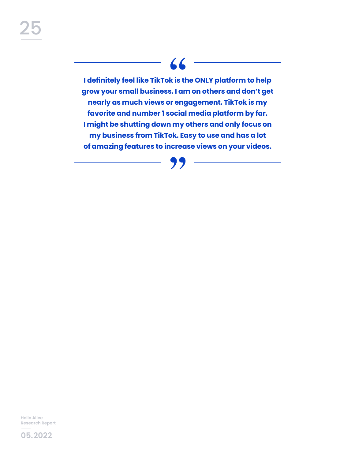## 66

**I definitely feel like TikTok is the ONLY platform to help grow your small business. I am on others and don't get nearly as much views or engagement. TikTok is my favorite and number 1 social media platform by far. I might be shutting down my others and only focus on my business from TikTok. Easy to use and has a lot of amazing features to increase views on your videos.**



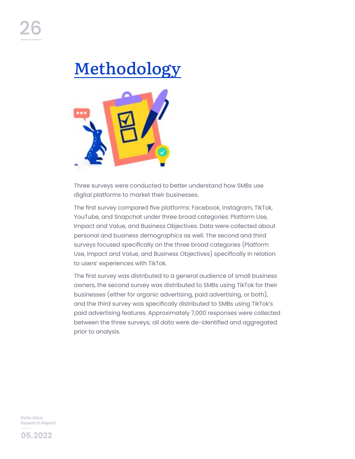# Methodology



Three surveys were conducted to better understand how SMBs use digital platforms to market their businesses.

The first survey compared five platforms: Facebook, Instagram, TikTok, YouTube, and Snapchat under three broad categories: Platform Use, Impact and Value, and Business Objectives. Data were collected about personal and business demographics as well. The second and third surveys focused specifically on the three broad categories (Platform Use, Impact and Value, and Business Objectives) specifically in relation to users' experiences with TikTok.

The first survey was distributed to a general audience of small business owners, the second survey was distributed to SMBs using TikTok for their businesses (either for organic advertising, paid advertising, or both), and the third survey was specifically distributed to SMBs using TikTok's paid advertising features. Approximately 7,000 responses were collected between the three surveys; all data were de-identified and aggregated prior to analysis.

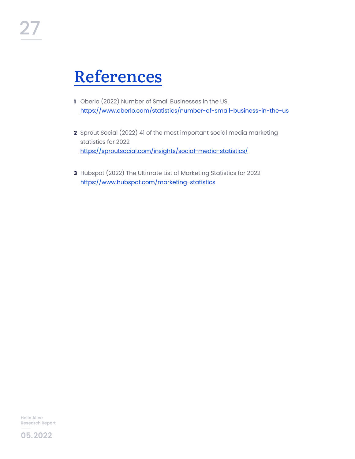## References

- **1** Oberlo (2022) Number of Small Businesses in the US. <https://www.oberlo.com/statistics/number-of-small-business-in-the-us>
- **2** Sprout Social (2022) 41 of the most important social media marketing statistics for 2022 <https://sproutsocial.com/insights/social-media-statistics/>
- **3** Hubspot (2022) The Ultimate List of Marketing Statistics for 2022 <https://www.hubspot.com/marketing-statistics>

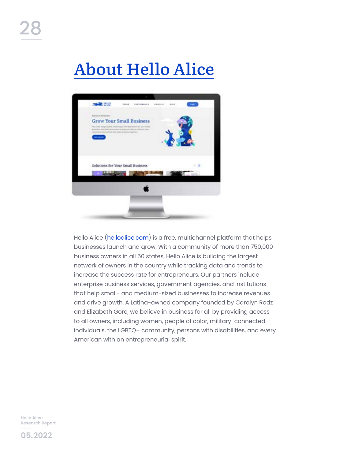# About Hello Alice



Hello Alice ([helloalice.com](http://helloalice.com)) is a free, multichannel platform that helps businesses launch and grow. With a community of more than 750,000 business owners in all 50 states, Hello Alice is building the largest network of owners in the country while tracking data and trends to increase the success rate for entrepreneurs. Our partners include enterprise business services, government agencies, and institutions that help small- and medium-sized businesses to increase revenues and drive growth. A Latina-owned company founded by Carolyn Rodz and Elizabeth Gore, we believe in business for all by providing access to all owners, including women, people of color, military-connected individuals, the LGBTQ+ community, persons with disabilities, and every American with an entrepreneurial spirit.